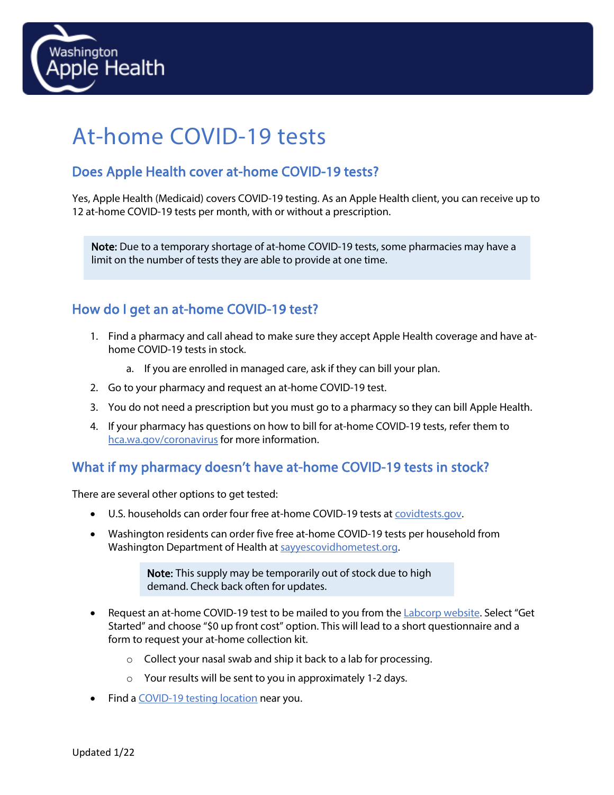

# At-home COVID-19 tests

### Does Apple Health cover at-home COVID-19 tests?

Yes, Apple Health (Medicaid) covers COVID-19 testing. As an Apple Health client, you can receive up to 12 at-home COVID-19 tests per month, with or without a prescription.

Note: Due to a temporary shortage of at-home COVID-19 tests, some pharmacies may have a limit on the number of tests they are able to provide at one time.

#### How do I get an at-home COVID-19 test?

- 1. Find a pharmacy and call ahead to make sure they accept Apple Health coverage and have athome COVID-19 tests in stock.
	- a. If you are enrolled in managed care, ask if they can bill your plan.
- 2. Go to your pharmacy and request an at-home COVID-19 test.
- 3. You do not need a prescription but you must go to a pharmacy so they can bill Apple Health.
- 4. If your pharmacy has questions on how to bill for at-home COVID-19 tests, refer them to [hca.wa.gov/coronavirus](http://www.hca.wa.gov/coronavirus%20for%20more%20information) for more information.

#### What if my pharmacy doesn't have at-home COVID-19 tests in stock?

There are several other options to get tested:

- U.S. households can order four free at-home COVID-19 tests at [covidtests.gov.](http://www.covidtests.gov/)
- Washington residents can order five free at-home COVID-19 tests per household from Washington Department of Health at [sayyescovidhometest.org.](https://www.sayyescovidhometest.org/)

Note: This supply may be temporarily out of stock due to high demand. Check back often for updates.

- Request an at-home COVID-19 test to be mailed to you from th[e Labcorp website.](https://www.ondemand.labcorp.com/at-home-test-kits/covid-19-test-home-collection-kit) Select "Get Started" and choose "\$0 up front cost" option. This will lead to a short questionnaire and a form to request your at-home collection kit.
	- o Collect your nasal swab and ship it back to a lab for processing.
	- o Your results will be sent to you in approximately 1-2 days.
- Find a [COVID-19 testing location](https://www.doh.wa.gov/Emergencies/COVID19/TestingforCOVID19/TestingLocations) near you.